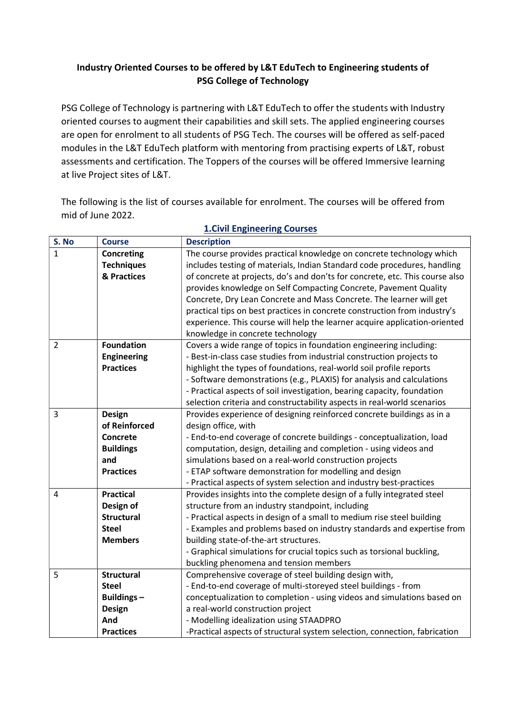# Industry Oriented Courses to be offered by L&T EduTech to Engineering students of PSG College of Technology

PSG College of Technology is partnering with L&T EduTech to offer the students with Industry oriented courses to augment their capabilities and skill sets. The applied engineering courses are open for enrolment to all students of PSG Tech. The courses will be offered as self-paced modules in the L&T EduTech platform with mentoring from practising experts of L&T, robust assessments and certification. The Toppers of the courses will be offered Immersive learning at live Project sites of L&T.

The following is the list of courses available for enrolment. The courses will be offered from mid of June 2022.

| S. No          | <b>Course</b>      | <b>Description</b>                                                           |
|----------------|--------------------|------------------------------------------------------------------------------|
| $\mathbf{1}$   | <b>Concreting</b>  | The course provides practical knowledge on concrete technology which         |
|                | <b>Techniques</b>  | includes testing of materials, Indian Standard code procedures, handling     |
|                | & Practices        | of concrete at projects, do's and don'ts for concrete, etc. This course also |
|                |                    | provides knowledge on Self Compacting Concrete, Pavement Quality             |
|                |                    | Concrete, Dry Lean Concrete and Mass Concrete. The learner will get          |
|                |                    | practical tips on best practices in concrete construction from industry's    |
|                |                    | experience. This course will help the learner acquire application-oriented   |
|                |                    | knowledge in concrete technology                                             |
| $\overline{2}$ | <b>Foundation</b>  | Covers a wide range of topics in foundation engineering including:           |
|                | <b>Engineering</b> | - Best-in-class case studies from industrial construction projects to        |
|                | <b>Practices</b>   | highlight the types of foundations, real-world soil profile reports          |
|                |                    | - Software demonstrations (e.g., PLAXIS) for analysis and calculations       |
|                |                    | - Practical aspects of soil investigation, bearing capacity, foundation      |
|                |                    | selection criteria and constructability aspects in real-world scenarios      |
| $\overline{3}$ | Design             | Provides experience of designing reinforced concrete buildings as in a       |
|                | of Reinforced      | design office, with                                                          |
|                | Concrete           | - End-to-end coverage of concrete buildings - conceptualization, load        |
|                | <b>Buildings</b>   | computation, design, detailing and completion - using videos and             |
|                | and                | simulations based on a real-world construction projects                      |
|                | <b>Practices</b>   | - ETAP software demonstration for modelling and design                       |
|                |                    | - Practical aspects of system selection and industry best-practices          |
| $\overline{4}$ | <b>Practical</b>   | Provides insights into the complete design of a fully integrated steel       |
|                | Design of          | structure from an industry standpoint, including                             |
|                | <b>Structural</b>  | - Practical aspects in design of a small to medium rise steel building       |
|                | <b>Steel</b>       | - Examples and problems based on industry standards and expertise from       |
|                | <b>Members</b>     | building state-of-the-art structures.                                        |
|                |                    | - Graphical simulations for crucial topics such as torsional buckling,       |
|                |                    | buckling phenomena and tension members                                       |
| 5              | <b>Structural</b>  | Comprehensive coverage of steel building design with,                        |
|                | <b>Steel</b>       | - End-to-end coverage of multi-storeyed steel buildings - from               |
|                | <b>Buildings-</b>  | conceptualization to completion - using videos and simulations based on      |
|                | <b>Design</b>      | a real-world construction project                                            |
|                | And                | - Modelling idealization using STAADPRO                                      |
|                | <b>Practices</b>   | -Practical aspects of structural system selection, connection, fabrication   |

## 1.Civil Engineering Courses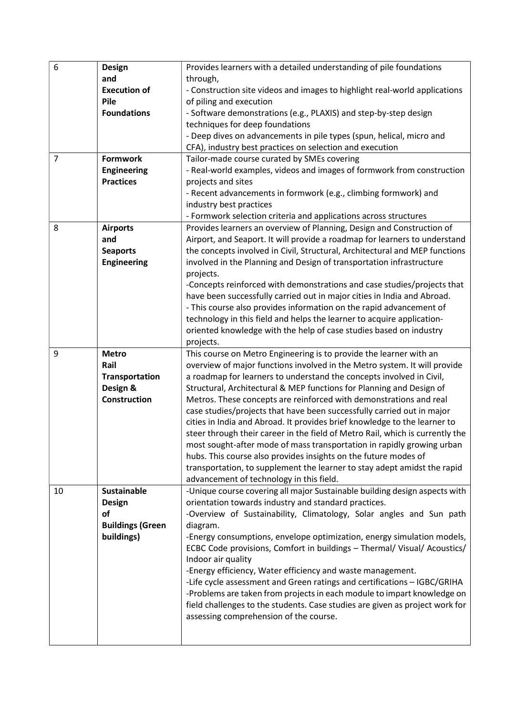| 6              | Design                  | Provides learners with a detailed understanding of pile foundations           |
|----------------|-------------------------|-------------------------------------------------------------------------------|
|                | and                     | through,                                                                      |
|                | <b>Execution of</b>     | - Construction site videos and images to highlight real-world applications    |
|                | Pile                    | of piling and execution                                                       |
|                | <b>Foundations</b>      | - Software demonstrations (e.g., PLAXIS) and step-by-step design              |
|                |                         | techniques for deep foundations                                               |
|                |                         | - Deep dives on advancements in pile types (spun, helical, micro and          |
|                |                         | CFA), industry best practices on selection and execution                      |
| $\overline{7}$ | <b>Formwork</b>         | Tailor-made course curated by SMEs covering                                   |
|                | <b>Engineering</b>      | - Real-world examples, videos and images of formwork from construction        |
|                | <b>Practices</b>        | projects and sites                                                            |
|                |                         | - Recent advancements in formwork (e.g., climbing formwork) and               |
|                |                         | industry best practices                                                       |
|                |                         | - Formwork selection criteria and applications across structures              |
| 8              | <b>Airports</b>         | Provides learners an overview of Planning, Design and Construction of         |
|                | and                     | Airport, and Seaport. It will provide a roadmap for learners to understand    |
|                | <b>Seaports</b>         | the concepts involved in Civil, Structural, Architectural and MEP functions   |
|                | <b>Engineering</b>      | involved in the Planning and Design of transportation infrastructure          |
|                |                         | projects.                                                                     |
|                |                         | -Concepts reinforced with demonstrations and case studies/projects that       |
|                |                         | have been successfully carried out in major cities in India and Abroad.       |
|                |                         | - This course also provides information on the rapid advancement of           |
|                |                         | technology in this field and helps the learner to acquire application-        |
|                |                         | oriented knowledge with the help of case studies based on industry            |
|                |                         | projects.                                                                     |
| 9              | <b>Metro</b>            | This course on Metro Engineering is to provide the learner with an            |
|                | Rail                    | overview of major functions involved in the Metro system. It will provide     |
|                | Transportation          | a roadmap for learners to understand the concepts involved in Civil,          |
|                | Design &                | Structural, Architectural & MEP functions for Planning and Design of          |
|                | Construction            | Metros. These concepts are reinforced with demonstrations and real            |
|                |                         | case studies/projects that have been successfully carried out in major        |
|                |                         | cities in India and Abroad. It provides brief knowledge to the learner to     |
|                |                         | steer through their career in the field of Metro Rail, which is currently the |
|                |                         | most sought-after mode of mass transportation in rapidly growing urban        |
|                |                         | hubs. This course also provides insights on the future modes of               |
|                |                         | transportation, to supplement the learner to stay adept amidst the rapid      |
|                |                         | advancement of technology in this field.                                      |
| 10             | <b>Sustainable</b>      | -Unique course covering all major Sustainable building design aspects with    |
|                | <b>Design</b>           | orientation towards industry and standard practices.                          |
|                | of                      | -Overview of Sustainability, Climatology, Solar angles and Sun path           |
|                | <b>Buildings (Green</b> | diagram.                                                                      |
|                | buildings)              | -Energy consumptions, envelope optimization, energy simulation models,        |
|                |                         | ECBC Code provisions, Comfort in buildings - Thermal/ Visual/ Acoustics/      |
|                |                         | Indoor air quality                                                            |
|                |                         | -Energy efficiency, Water efficiency and waste management.                    |
|                |                         | -Life cycle assessment and Green ratings and certifications - IGBC/GRIHA      |
|                |                         | -Problems are taken from projects in each module to impart knowledge on       |
|                |                         | field challenges to the students. Case studies are given as project work for  |
|                |                         | assessing comprehension of the course.                                        |
|                |                         |                                                                               |
|                |                         |                                                                               |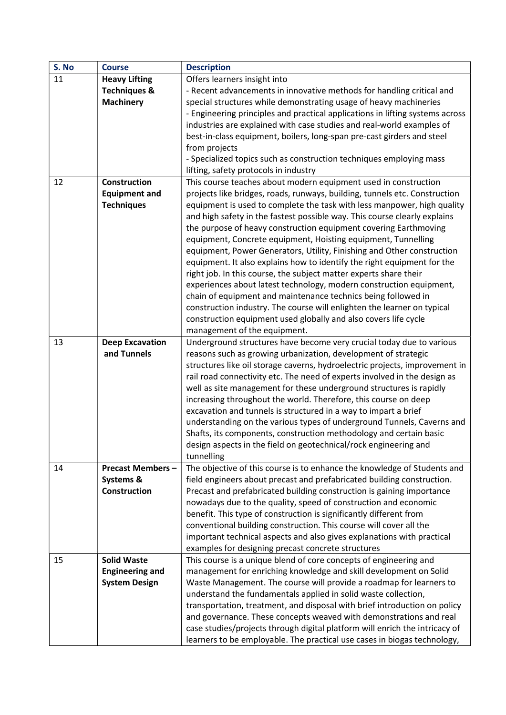| S. No | <b>Course</b>                         | <b>Description</b>                                                                                                                     |
|-------|---------------------------------------|----------------------------------------------------------------------------------------------------------------------------------------|
| 11    | <b>Heavy Lifting</b>                  | Offers learners insight into                                                                                                           |
|       | <b>Techniques &amp;</b>               | - Recent advancements in innovative methods for handling critical and                                                                  |
|       | <b>Machinery</b>                      | special structures while demonstrating usage of heavy machineries                                                                      |
|       |                                       | - Engineering principles and practical applications in lifting systems across                                                          |
|       |                                       | industries are explained with case studies and real-world examples of                                                                  |
|       |                                       | best-in-class equipment, boilers, long-span pre-cast girders and steel                                                                 |
|       |                                       | from projects                                                                                                                          |
|       |                                       | - Specialized topics such as construction techniques employing mass                                                                    |
|       |                                       | lifting, safety protocols in industry                                                                                                  |
| 12    | <b>Construction</b>                   | This course teaches about modern equipment used in construction                                                                        |
|       | <b>Equipment and</b>                  | projects like bridges, roads, runways, building, tunnels etc. Construction                                                             |
|       | <b>Techniques</b>                     | equipment is used to complete the task with less manpower, high quality                                                                |
|       |                                       | and high safety in the fastest possible way. This course clearly explains                                                              |
|       |                                       | the purpose of heavy construction equipment covering Earthmoving                                                                       |
|       |                                       | equipment, Concrete equipment, Hoisting equipment, Tunnelling                                                                          |
|       |                                       | equipment, Power Generators, Utility, Finishing and Other construction                                                                 |
|       |                                       | equipment. It also explains how to identify the right equipment for the                                                                |
|       |                                       | right job. In this course, the subject matter experts share their                                                                      |
|       |                                       | experiences about latest technology, modern construction equipment,                                                                    |
|       |                                       | chain of equipment and maintenance technics being followed in                                                                          |
|       |                                       | construction industry. The course will enlighten the learner on typical                                                                |
|       |                                       | construction equipment used globally and also covers life cycle                                                                        |
|       |                                       | management of the equipment.                                                                                                           |
| 13    |                                       | Underground structures have become very crucial today due to various                                                                   |
|       | <b>Deep Excavation</b><br>and Tunnels | reasons such as growing urbanization, development of strategic                                                                         |
|       |                                       | structures like oil storage caverns, hydroelectric projects, improvement in                                                            |
|       |                                       | rail road connectivity etc. The need of experts involved in the design as                                                              |
|       |                                       | well as site management for these underground structures is rapidly                                                                    |
|       |                                       | increasing throughout the world. Therefore, this course on deep                                                                        |
|       |                                       | excavation and tunnels is structured in a way to impart a brief                                                                        |
|       |                                       | understanding on the various types of underground Tunnels, Caverns and                                                                 |
|       |                                       | Shafts, its components, construction methodology and certain basic                                                                     |
|       |                                       | design aspects in the field on geotechnical/rock engineering and                                                                       |
|       |                                       |                                                                                                                                        |
| 14    | <b>Precast Members -</b>              | tunnelling<br>The objective of this course is to enhance the knowledge of Students and                                                 |
|       |                                       | field engineers about precast and prefabricated building construction.                                                                 |
|       | Systems &<br><b>Construction</b>      |                                                                                                                                        |
|       |                                       | Precast and prefabricated building construction is gaining importance                                                                  |
|       |                                       | nowadays due to the quality, speed of construction and economic<br>benefit. This type of construction is significantly different from  |
|       |                                       |                                                                                                                                        |
|       |                                       | conventional building construction. This course will cover all the                                                                     |
|       |                                       | important technical aspects and also gives explanations with practical                                                                 |
|       | <b>Solid Waste</b>                    | examples for designing precast concrete structures                                                                                     |
| 15    |                                       | This course is a unique blend of core concepts of engineering and<br>management for enriching knowledge and skill development on Solid |
|       | <b>Engineering and</b>                |                                                                                                                                        |
|       | <b>System Design</b>                  | Waste Management. The course will provide a roadmap for learners to                                                                    |
|       |                                       | understand the fundamentals applied in solid waste collection,                                                                         |
|       |                                       | transportation, treatment, and disposal with brief introduction on policy                                                              |
|       |                                       | and governance. These concepts weaved with demonstrations and real                                                                     |
|       |                                       | case studies/projects through digital platform will enrich the intricacy of                                                            |
|       |                                       | learners to be employable. The practical use cases in biogas technology,                                                               |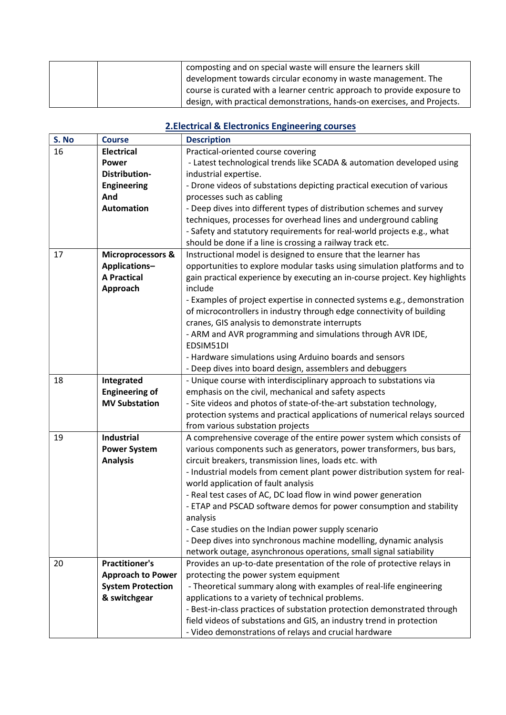|  | composting and on special waste will ensure the learners skill           |
|--|--------------------------------------------------------------------------|
|  | development towards circular economy in waste management. The            |
|  | course is curated with a learner centric approach to provide exposure to |
|  | design, with practical demonstrations, hands-on exercises, and Projects. |

## 2.Electrical & Electronics Engineering courses

| S. No | <b>Course</b>                | <b>Description</b>                                                                                    |
|-------|------------------------------|-------------------------------------------------------------------------------------------------------|
| 16    | <b>Electrical</b>            | Practical-oriented course covering                                                                    |
|       | <b>Power</b>                 | - Latest technological trends like SCADA & automation developed using                                 |
|       | <b>Distribution-</b>         | industrial expertise.                                                                                 |
|       | <b>Engineering</b>           | - Drone videos of substations depicting practical execution of various                                |
|       | And                          | processes such as cabling                                                                             |
|       | <b>Automation</b>            | - Deep dives into different types of distribution schemes and survey                                  |
|       |                              | techniques, processes for overhead lines and underground cabling                                      |
|       |                              | - Safety and statutory requirements for real-world projects e.g., what                                |
|       |                              | should be done if a line is crossing a railway track etc.                                             |
| 17    | <b>Microprocessors &amp;</b> | Instructional model is designed to ensure that the learner has                                        |
|       | Applications-                | opportunities to explore modular tasks using simulation platforms and to                              |
|       | <b>A Practical</b>           | gain practical experience by executing an in-course project. Key highlights                           |
|       | Approach                     | include                                                                                               |
|       |                              | - Examples of project expertise in connected systems e.g., demonstration                              |
|       |                              | of microcontrollers in industry through edge connectivity of building                                 |
|       |                              | cranes, GIS analysis to demonstrate interrupts                                                        |
|       |                              | - ARM and AVR programming and simulations through AVR IDE,                                            |
|       |                              | EDSIM51DI                                                                                             |
|       |                              | - Hardware simulations using Arduino boards and sensors                                               |
|       |                              | - Deep dives into board design, assemblers and debuggers                                              |
| 18    | Integrated                   | - Unique course with interdisciplinary approach to substations via                                    |
|       | <b>Engineering of</b>        | emphasis on the civil, mechanical and safety aspects                                                  |
|       | <b>MV Substation</b>         | - Site videos and photos of state-of-the-art substation technology,                                   |
|       |                              | protection systems and practical applications of numerical relays sourced                             |
|       |                              | from various substation projects                                                                      |
| 19    | Industrial                   | A comprehensive coverage of the entire power system which consists of                                 |
|       | <b>Power System</b>          | various components such as generators, power transformers, bus bars,                                  |
|       | <b>Analysis</b>              | circuit breakers, transmission lines, loads etc. with                                                 |
|       |                              | - Industrial models from cement plant power distribution system for real-                             |
|       |                              | world application of fault analysis<br>- Real test cases of AC, DC load flow in wind power generation |
|       |                              |                                                                                                       |
|       |                              | - ETAP and PSCAD software demos for power consumption and stability                                   |
|       |                              | analysis<br>- Case studies on the Indian power supply scenario                                        |
|       |                              | - Deep dives into synchronous machine modelling, dynamic analysis                                     |
|       |                              | network outage, asynchronous operations, small signal satiability                                     |
| 20    | <b>Practitioner's</b>        | Provides an up-to-date presentation of the role of protective relays in                               |
|       | <b>Approach to Power</b>     | protecting the power system equipment                                                                 |
|       | <b>System Protection</b>     | - Theoretical summary along with examples of real-life engineering                                    |
|       | & switchgear                 | applications to a variety of technical problems.                                                      |
|       |                              | - Best-in-class practices of substation protection demonstrated through                               |
|       |                              | field videos of substations and GIS, an industry trend in protection                                  |
|       |                              | - Video demonstrations of relays and crucial hardware                                                 |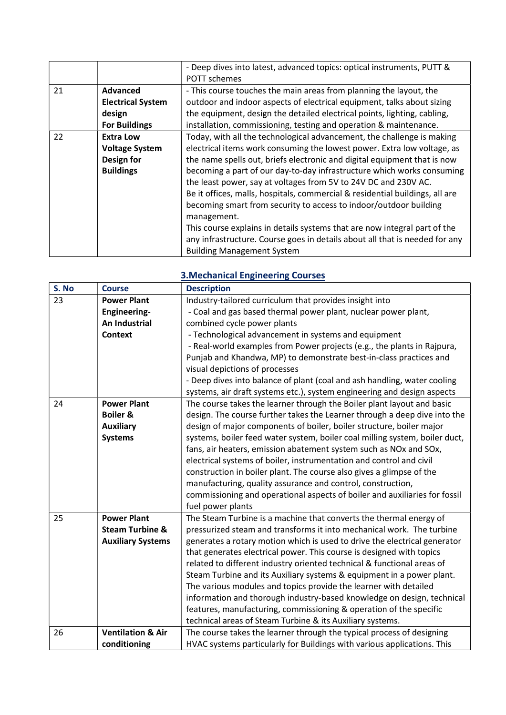|    |                          | - Deep dives into latest, advanced topics: optical instruments, PUTT &       |
|----|--------------------------|------------------------------------------------------------------------------|
|    |                          | <b>POTT</b> schemes                                                          |
| 21 | <b>Advanced</b>          | - This course touches the main areas from planning the layout, the           |
|    | <b>Electrical System</b> | outdoor and indoor aspects of electrical equipment, talks about sizing       |
|    | design                   | the equipment, design the detailed electrical points, lighting, cabling,     |
|    | <b>For Buildings</b>     | installation, commissioning, testing and operation & maintenance.            |
| 22 | <b>Extra Low</b>         | Today, with all the technological advancement, the challenge is making       |
|    | <b>Voltage System</b>    | electrical items work consuming the lowest power. Extra low voltage, as      |
|    | Design for               | the name spells out, briefs electronic and digital equipment that is now     |
|    | <b>Buildings</b>         | becoming a part of our day-to-day infrastructure which works consuming       |
|    |                          | the least power, say at voltages from 5V to 24V DC and 230V AC.              |
|    |                          | Be it offices, malls, hospitals, commercial & residential buildings, all are |
|    |                          | becoming smart from security to access to indoor/outdoor building            |
|    |                          | management.                                                                  |
|    |                          | This course explains in details systems that are now integral part of the    |
|    |                          | any infrastructure. Course goes in details about all that is needed for any  |
|    |                          | <b>Building Management System</b>                                            |

| S. No | <b>Course</b>                | <b>Description</b>                                                          |
|-------|------------------------------|-----------------------------------------------------------------------------|
| 23    | <b>Power Plant</b>           | Industry-tailored curriculum that provides insight into                     |
|       | <b>Engineering-</b>          | - Coal and gas based thermal power plant, nuclear power plant,              |
|       | An Industrial                | combined cycle power plants                                                 |
|       | <b>Context</b>               | - Technological advancement in systems and equipment                        |
|       |                              | - Real-world examples from Power projects (e.g., the plants in Rajpura,     |
|       |                              | Punjab and Khandwa, MP) to demonstrate best-in-class practices and          |
|       |                              | visual depictions of processes                                              |
|       |                              | - Deep dives into balance of plant (coal and ash handling, water cooling    |
|       |                              | systems, air draft systems etc.), system engineering and design aspects     |
| 24    | <b>Power Plant</b>           | The course takes the learner through the Boiler plant layout and basic      |
|       | <b>Boiler &amp;</b>          | design. The course further takes the Learner through a deep dive into the   |
|       | <b>Auxiliary</b>             | design of major components of boiler, boiler structure, boiler major        |
|       | <b>Systems</b>               | systems, boiler feed water system, boiler coal milling system, boiler duct, |
|       |                              | fans, air heaters, emission abatement system such as NOx and SOx,           |
|       |                              | electrical systems of boiler, instrumentation and control and civil         |
|       |                              | construction in boiler plant. The course also gives a glimpse of the        |
|       |                              | manufacturing, quality assurance and control, construction,                 |
|       |                              | commissioning and operational aspects of boiler and auxiliaries for fossil  |
|       |                              | fuel power plants                                                           |
| 25    | <b>Power Plant</b>           | The Steam Turbine is a machine that converts the thermal energy of          |
|       | <b>Steam Turbine &amp;</b>   | pressurized steam and transforms it into mechanical work. The turbine       |
|       | <b>Auxiliary Systems</b>     | generates a rotary motion which is used to drive the electrical generator   |
|       |                              | that generates electrical power. This course is designed with topics        |
|       |                              | related to different industry oriented technical & functional areas of      |
|       |                              | Steam Turbine and its Auxiliary systems & equipment in a power plant.       |
|       |                              | The various modules and topics provide the learner with detailed            |
|       |                              | information and thorough industry-based knowledge on design, technical      |
|       |                              | features, manufacturing, commissioning & operation of the specific          |
|       |                              | technical areas of Steam Turbine & its Auxiliary systems.                   |
| 26    | <b>Ventilation &amp; Air</b> | The course takes the learner through the typical process of designing       |
|       | conditioning                 | HVAC systems particularly for Buildings with various applications. This     |

#### 3.Mechanical Engineering Courses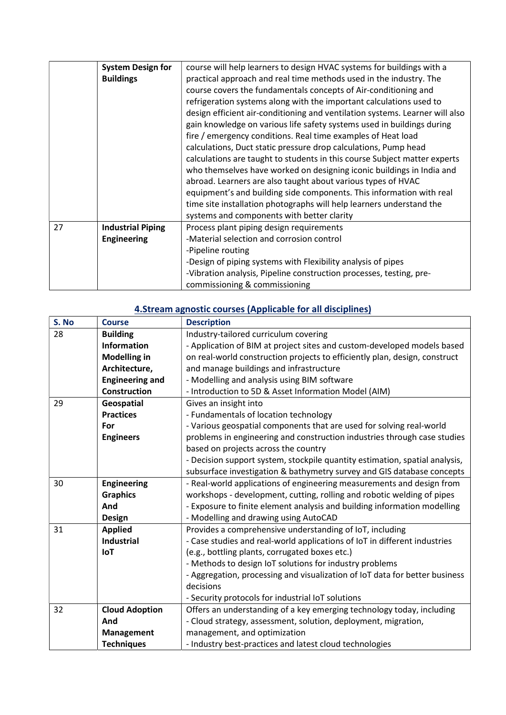|    | <b>System Design for</b> | course will help learners to design HVAC systems for buildings with a        |
|----|--------------------------|------------------------------------------------------------------------------|
|    | <b>Buildings</b>         | practical approach and real time methods used in the industry. The           |
|    |                          | course covers the fundamentals concepts of Air-conditioning and              |
|    |                          | refrigeration systems along with the important calculations used to          |
|    |                          | design efficient air-conditioning and ventilation systems. Learner will also |
|    |                          | gain knowledge on various life safety systems used in buildings during       |
|    |                          | fire / emergency conditions. Real time examples of Heat load                 |
|    |                          | calculations, Duct static pressure drop calculations, Pump head              |
|    |                          | calculations are taught to students in this course Subject matter experts    |
|    |                          | who themselves have worked on designing iconic buildings in India and        |
|    |                          | abroad. Learners are also taught about various types of HVAC                 |
|    |                          | equipment's and building side components. This information with real         |
|    |                          | time site installation photographs will help learners understand the         |
|    |                          | systems and components with better clarity                                   |
| 27 | <b>Industrial Piping</b> | Process plant piping design requirements                                     |
|    | <b>Engineering</b>       | -Material selection and corrosion control                                    |
|    |                          | -Pipeline routing                                                            |
|    |                          | -Design of piping systems with Flexibility analysis of pipes                 |
|    |                          | -Vibration analysis, Pipeline construction processes, testing, pre-          |
|    |                          | commissioning & commissioning                                                |

# 4.Stream agnostic courses (Applicable for all disciplines)

| S. No | <b>Course</b>          | <b>Description</b>                                                          |
|-------|------------------------|-----------------------------------------------------------------------------|
| 28    | <b>Building</b>        | Industry-tailored curriculum covering                                       |
|       | <b>Information</b>     | - Application of BIM at project sites and custom-developed models based     |
|       | <b>Modelling in</b>    | on real-world construction projects to efficiently plan, design, construct  |
|       | Architecture,          | and manage buildings and infrastructure                                     |
|       | <b>Engineering and</b> | - Modelling and analysis using BIM software                                 |
|       | <b>Construction</b>    | - Introduction to 5D & Asset Information Model (AIM)                        |
| 29    | Geospatial             | Gives an insight into                                                       |
|       | <b>Practices</b>       | - Fundamentals of location technology                                       |
|       | For                    | - Various geospatial components that are used for solving real-world        |
|       | <b>Engineers</b>       | problems in engineering and construction industries through case studies    |
|       |                        | based on projects across the country                                        |
|       |                        | - Decision support system, stockpile quantity estimation, spatial analysis, |
|       |                        | subsurface investigation & bathymetry survey and GIS database concepts      |
| 30    | <b>Engineering</b>     | - Real-world applications of engineering measurements and design from       |
|       | <b>Graphics</b>        | workshops - development, cutting, rolling and robotic welding of pipes      |
|       | And                    | - Exposure to finite element analysis and building information modelling    |
|       | <b>Design</b>          | - Modelling and drawing using AutoCAD                                       |
| 31    | <b>Applied</b>         | Provides a comprehensive understanding of IoT, including                    |
|       | <b>Industrial</b>      | - Case studies and real-world applications of IoT in different industries   |
|       | <b>IoT</b>             | (e.g., bottling plants, corrugated boxes etc.)                              |
|       |                        | - Methods to design IoT solutions for industry problems                     |
|       |                        | - Aggregation, processing and visualization of IoT data for better business |
|       |                        | decisions                                                                   |
|       |                        | - Security protocols for industrial IoT solutions                           |
| 32    | <b>Cloud Adoption</b>  | Offers an understanding of a key emerging technology today, including       |
|       | And                    | - Cloud strategy, assessment, solution, deployment, migration,              |
|       | Management             | management, and optimization                                                |
|       | <b>Techniques</b>      | - Industry best-practices and latest cloud technologies                     |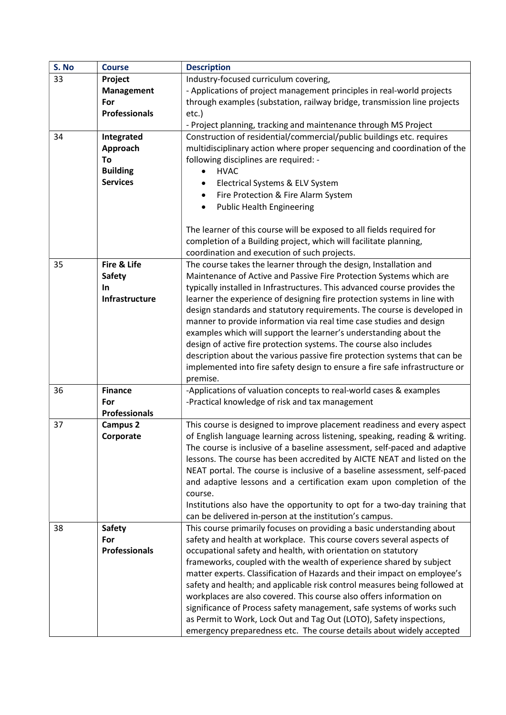| S. No | <b>Course</b>        | <b>Description</b>                                                          |
|-------|----------------------|-----------------------------------------------------------------------------|
| 33    | Project              | Industry-focused curriculum covering,                                       |
|       | <b>Management</b>    | - Applications of project management principles in real-world projects      |
|       | For                  | through examples (substation, railway bridge, transmission line projects    |
|       | <b>Professionals</b> | $etc.$ )                                                                    |
|       |                      | - Project planning, tracking and maintenance through MS Project             |
| 34    | Integrated           | Construction of residential/commercial/public buildings etc. requires       |
|       | Approach             | multidisciplinary action where proper sequencing and coordination of the    |
|       | To                   | following disciplines are required: -                                       |
|       | <b>Building</b>      | <b>HVAC</b>                                                                 |
|       | <b>Services</b>      | Electrical Systems & ELV System<br>$\bullet$                                |
|       |                      |                                                                             |
|       |                      | Fire Protection & Fire Alarm System<br>$\bullet$                            |
|       |                      | <b>Public Health Engineering</b><br>$\bullet$                               |
|       |                      |                                                                             |
|       |                      | The learner of this course will be exposed to all fields required for       |
|       |                      | completion of a Building project, which will facilitate planning,           |
|       |                      | coordination and execution of such projects.                                |
| 35    | Fire & Life          | The course takes the learner through the design, Installation and           |
|       | Safety               | Maintenance of Active and Passive Fire Protection Systems which are         |
|       | In.                  | typically installed in Infrastructures. This advanced course provides the   |
|       | Infrastructure       | learner the experience of designing fire protection systems in line with    |
|       |                      | design standards and statutory requirements. The course is developed in     |
|       |                      | manner to provide information via real time case studies and design         |
|       |                      | examples which will support the learner's understanding about the           |
|       |                      | design of active fire protection systems. The course also includes          |
|       |                      | description about the various passive fire protection systems that can be   |
|       |                      | implemented into fire safety design to ensure a fire safe infrastructure or |
|       |                      | premise.                                                                    |
| 36    | <b>Finance</b>       | -Applications of valuation concepts to real-world cases & examples          |
|       | For                  | -Practical knowledge of risk and tax management                             |
|       | <b>Professionals</b> |                                                                             |
| 37    | Campus <sub>2</sub>  | This course is designed to improve placement readiness and every aspect     |
|       | Corporate            | of English language learning across listening, speaking, reading & writing. |
|       |                      | The course is inclusive of a baseline assessment, self-paced and adaptive   |
|       |                      | lessons. The course has been accredited by AICTE NEAT and listed on the     |
|       |                      | NEAT portal. The course is inclusive of a baseline assessment, self-paced   |
|       |                      | and adaptive lessons and a certification exam upon completion of the        |
|       |                      | course.                                                                     |
|       |                      | Institutions also have the opportunity to opt for a two-day training that   |
|       |                      | can be delivered in-person at the institution's campus.                     |
| 38    | <b>Safety</b>        | This course primarily focuses on providing a basic understanding about      |
|       | For                  | safety and health at workplace. This course covers several aspects of       |
|       | <b>Professionals</b> | occupational safety and health, with orientation on statutory               |
|       |                      | frameworks, coupled with the wealth of experience shared by subject         |
|       |                      | matter experts. Classification of Hazards and their impact on employee's    |
|       |                      | safety and health; and applicable risk control measures being followed at   |
|       |                      | workplaces are also covered. This course also offers information on         |
|       |                      | significance of Process safety management, safe systems of works such       |
|       |                      | as Permit to Work, Lock Out and Tag Out (LOTO), Safety inspections,         |
|       |                      | emergency preparedness etc. The course details about widely accepted        |